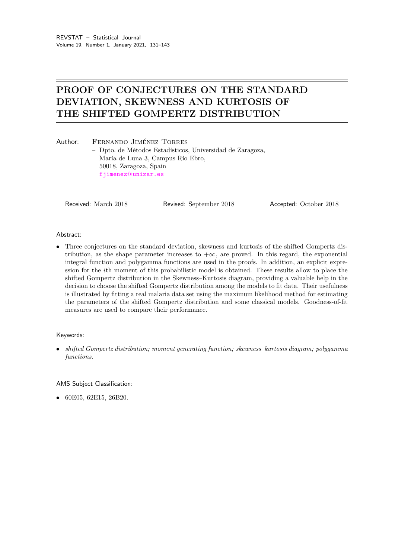# PROOF OF CONJECTURES ON THE STANDARD DEVIATION, SKEWNESS AND KURTOSIS OF THE SHIFTED GOMPERTZ DISTRIBUTION

| Author: | FERNANDO JIMÉNEZ TORRES                                   |
|---------|-----------------------------------------------------------|
|         | - Dpto. de Métodos Estadísticos, Universidad de Zaragoza, |
|         | María de Luna 3, Campus Río Ebro,                         |
|         | 50018, Zaragoza, Spain                                    |
|         | fjimenez@unizar.es                                        |
|         |                                                           |

Received: March 2018 Revised: September 2018 Accepted: October 2018

#### Abstract:

• Three conjectures on the standard deviation, skewness and kurtosis of the shifted Gompertz distribution, as the shape parameter increases to  $+\infty$ , are proved. In this regard, the exponential integral function and polygamma functions are used in the proofs. In addition, an explicit expression for the ith moment of this probabilistic model is obtained. These results allow to place the shifted Gompertz distribution in the Skewness–Kurtosis diagram, providing a valuable help in the decision to choose the shifted Gompertz distribution among the models to fit data. Their usefulness is illustrated by fitting a real malaria data set using the maximum likelihood method for estimating the parameters of the shifted Gompertz distribution and some classical models. Goodness-of-fit measures are used to compare their performance.

## Keywords:

• shifted Gompertz distribution; moment generating function; skewness-kurtosis diagram; polygamma functions.

AMS Subject Classification:

• 60E05, 62E15, 26B20.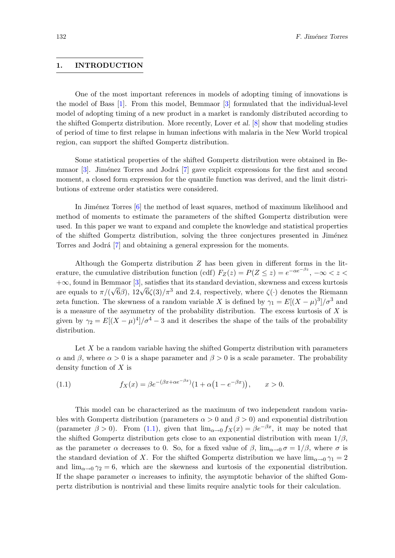## 1. INTRODUCTION

One of the most important references in models of adopting timing of innovations is the model of Bass [\[1\]](#page-12-0). From this model, Bemmaor [\[3\]](#page-12-1) formulated that the individual-level model of adopting timing of a new product in a market is randomly distributed according to the shifted Gompertz distribution. More recently, Lover et al. [\[8\]](#page-12-2) show that modeling studies of period of time to first relapse in human infections with malaria in the New World tropical region, can support the shifted Gompertz distribution.

Some statistical properties of the shifted Gompertz distribution were obtained in Bemmaor  $[3]$ . Jiménez Torres and Jodrá  $[7]$  gave explicit expressions for the first and second moment, a closed form expression for the quantile function was derived, and the limit distributions of extreme order statistics were considered.

In Jiménez Torres [\[6\]](#page-12-4) the method of least squares, method of maximum likelihood and method of moments to estimate the parameters of the shifted Gompertz distribution were used. In this paper we want to expand and complete the knowledge and statistical properties of the shifted Gompertz distribution, solving the three conjectures presented in Jiménez Torres and Jodrá [\[7\]](#page-12-3) and obtaining a general expression for the moments.

Although the Gompertz distribution Z has been given in different forms in the literature, the cumulative distribution function (cdf)  $F_Z(z) = P(Z \leq z) = e^{-\alpha e^{-\beta z}}, -\infty < z <$ +∞, found in Bemmaor [\[3\]](#page-12-1), satisfies that its standard deviation, skewness and excess kurtosis √  $+\infty$ , found in Bennhaor [3], satisfies that its standard deviation, skewness and excess kurtosis are equals to  $\pi/(\sqrt{6}\beta)$ ,  $12\sqrt{6}\zeta(3)/\pi^3$  and 2.4, respectively, where  $\zeta(\cdot)$  denotes the Riemann zeta function. The skewness of a random variable X is defined by  $\gamma_1 = E[(X - \mu)^3]/\sigma^3$  and is a measure of the asymmetry of the probability distribution. The excess kurtosis of  $X$  is given by  $\gamma_2 = E[(X - \mu)^4]/\sigma^4 - 3$  and it describes the shape of the tails of the probability distribution.

<span id="page-1-0"></span>Let  $X$  be a random variable having the shifted Gompertz distribution with parameters α and β, where  $\alpha > 0$  is a shape parameter and  $\beta > 0$  is a scale parameter. The probability density function of X is

(1.1) 
$$
f_X(x) = \beta e^{-(\beta x + \alpha e^{-\beta x})} (1 + \alpha (1 - e^{-\beta x})), \qquad x > 0.
$$

This model can be characterized as the maximum of two independent random variables with Gompertz distribution (parameters  $\alpha > 0$  and  $\beta > 0$ ) and exponential distribution (parameter  $\beta > 0$ ). From [\(1.1\)](#page-1-0), given that  $\lim_{\alpha \to 0} f_X(x) = \beta e^{-\beta x}$ , it may be noted that the shifted Gompertz distribution gets close to an exponential distribution with mean  $1/\beta$ , as the parameter  $\alpha$  decreases to 0. So, for a fixed value of  $\beta$ ,  $\lim_{\alpha \to 0} \sigma = 1/\beta$ , where  $\sigma$  is the standard deviation of X. For the shifted Gompertz distribution we have  $\lim_{\alpha\to 0} \gamma_1 = 2$ and  $\lim_{\alpha\to 0} \gamma_2 = 6$ , which are the skewness and kurtosis of the exponential distribution. If the shape parameter  $\alpha$  increases to infinity, the asymptotic behavior of the shifted Gompertz distribution is nontrivial and these limits require analytic tools for their calculation.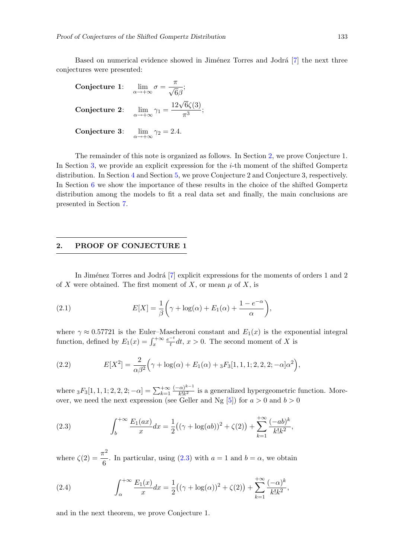Based on numerical evidence showed in Jiménez Torres and Jodrá [\[7\]](#page-12-3) the next three conjectures were presented:

Conjecture 1: 
$$
\lim_{\alpha \to +\infty} \sigma = \frac{\pi}{\sqrt{6}\beta};
$$
  
Conjecture 2: 
$$
\lim_{\alpha \to +\infty} \gamma_1 = \frac{12\sqrt{6}\zeta(3)}{\pi^3};
$$
  
Conjecture 3: 
$$
\lim_{\alpha \to +\infty} \gamma_2 = 2.4.
$$

The remainder of this note is organized as follows. In Section [2,](#page-2-0) we prove Conjecture 1. In Section [3,](#page-3-0) we provide an explicit expression for the  $i$ -th moment of the shifted Gompertz distribution. In Section [4](#page-5-0) and Section [5,](#page-7-0) we prove Conjecture 2 and Conjecture 3, respectively. In Section [6](#page-9-0) we show the importance of these results in the choice of the shifted Gompertz distribution among the models to fit a real data set and finally, the main conclusions are presented in Section [7.](#page-11-0)

## <span id="page-2-0"></span>2. PROOF OF CONJECTURE 1

<span id="page-2-2"></span>In Jiménez Torres and Jodrá [\[7\]](#page-12-3) explicit expressions for the moments of orders 1 and 2 of X were obtained. The first moment of X, or mean  $\mu$  of X, is

(2.1) 
$$
E[X] = \frac{1}{\beta} \left( \gamma + \log(\alpha) + E_1(\alpha) + \frac{1 - e^{-\alpha}}{\alpha} \right),
$$

<span id="page-2-3"></span>where  $\gamma \approx 0.57721$  is the Euler–Mascheroni constant and  $E_1(x)$  is the exponential integral function, defined by  $E_1(x) = \int_x^{+\infty}$  $e^{-t}$  $\frac{-\tau}{t}dt, x > 0$ . The second moment of X is

(2.2) 
$$
E[X^2] = \frac{2}{\alpha \beta^2} \left( \gamma + \log(\alpha) + E_1(\alpha) + {}_3F_3[1, 1, 1; 2, 2, 2; -\alpha] \alpha^2 \right),
$$

<span id="page-2-1"></span>where  $_3F_3[1, 1, 1; 2, 2, 2; -\alpha] = \sum_{k=1}^{+\infty}$  $(-\alpha)^{k-1}$  $\frac{R}{k!k^2}$  is a generalized hypergeometric function. Moreover, we need the next expression (see Geller and Ng  $[5]$ ) for  $a > 0$  and  $b > 0$ 

(2.3) 
$$
\int_{b}^{+\infty} \frac{E_1(ax)}{x} dx = \frac{1}{2} ((\gamma + \log(ab))^2 + \zeta(2)) + \sum_{k=1}^{+\infty} \frac{(-ab)^k}{k! k^2},
$$

<span id="page-2-4"></span>where  $\zeta(2) = \frac{\pi^2}{c}$  $\frac{1}{6}$ . In particular, using [\(2.3\)](#page-2-1) with  $a = 1$  and  $b = \alpha$ , we obtain

(2.4) 
$$
\int_{\alpha}^{+\infty} \frac{E_1(x)}{x} dx = \frac{1}{2} \left( (\gamma + \log(\alpha))^2 + \zeta(2) \right) + \sum_{k=1}^{+\infty} \frac{(-\alpha)^k}{k! k^2},
$$

and in the next theorem, we prove Conjecture 1.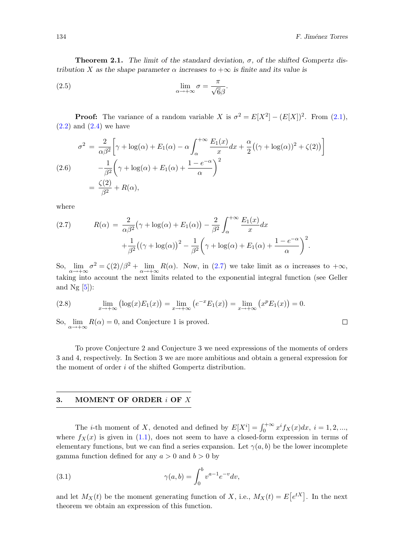$\Box$ 

**Theorem 2.1.** The limit of the standard deviation,  $\sigma$ , of the shifted Gompertz distribution X as the shape parameter  $\alpha$  increases to  $+\infty$  is finite and its value is

(2.5) 
$$
\lim_{\alpha \to +\infty} \sigma = \frac{\pi}{\sqrt{6}\beta}.
$$

**Proof:** The variance of a random variable X is  $\sigma^2 = E[X^2] - (E[X])^2$ . From [\(2.1\)](#page-2-2),  $(2.2)$  and  $(2.4)$  we have

$$
\sigma^2 = \frac{2}{\alpha \beta^2} \bigg[ \gamma + \log(\alpha) + E_1(\alpha) - \alpha \int_{\alpha}^{+\infty} \frac{E_1(x)}{x} dx + \frac{\alpha}{2} \big( (\gamma + \log(\alpha))^2 + \zeta(2) \big) \bigg]
$$
  
(2.6)  

$$
- \frac{1}{\beta^2} \bigg( \gamma + \log(\alpha) + E_1(\alpha) + \frac{1 - e^{-\alpha}}{\alpha} \bigg)^2
$$
  

$$
= \frac{\zeta(2)}{\beta^2} + R(\alpha),
$$

where

<span id="page-3-1"></span>(2.7) 
$$
R(\alpha) = \frac{2}{\alpha \beta^2} \left(\gamma + \log(\alpha) + E_1(\alpha)\right) - \frac{2}{\beta^2} \int_{\alpha}^{+\infty} \frac{E_1(x)}{x} dx + \frac{1}{\beta^2} \left((\gamma + \log(\alpha))^2 - \frac{1}{\beta^2} \left(\gamma + \log(\alpha) + E_1(\alpha) + \frac{1 - e^{-\alpha}}{\alpha}\right)^2\right).
$$

So,  $\lim_{\alpha \to +\infty} \sigma^2 = \frac{\zeta(2)}{\beta^2} + \lim_{\alpha \to +\infty} R(\alpha)$ . Now, in [\(2.7\)](#page-3-1) we take limit as  $\alpha$  increases to  $+\infty$ , taking into account the next limits related to the exponential integral function (see Geller and  $Ng [5]$  $Ng [5]$ :

<span id="page-3-3"></span>(2.8) 
$$
\lim_{x \to +\infty} (\log(x)E_1(x)) = \lim_{x \to +\infty} (e^{-x}E_1(x)) = \lim_{x \to +\infty} (x^p E_1(x)) = 0.
$$

So,  $\lim_{\alpha \to +\infty} R(\alpha) = 0$ , and Conjecture 1 is proved.

To prove Conjecture 2 and Conjecture 3 we need expressions of the moments of orders 3 and 4, respectively. In Section 3 we are more ambitious and obtain a general expression for the moment of order i of the shifted Gompertz distribution.

## <span id="page-3-0"></span>3. MOMENT OF ORDER i OF X

The *i*-th moment of X, denoted and defined by  $E[X^i] = \int_0^{+\infty} x^i f_X(x) dx$ ,  $i = 1, 2, ...,$ where  $f_X(x)$  is given in [\(1.1\)](#page-1-0), does not seem to have a closed-form expression in terms of elementary functions, but we can find a series expansion. Let  $\gamma(a, b)$  be the lower incomplete gamma function defined for any  $a > 0$  and  $b > 0$  by

<span id="page-3-2"></span>(3.1) 
$$
\gamma(a,b) = \int_0^b v^{a-1} e^{-v} dv,
$$

and let  $M_X(t)$  be the moment generating function of X, i.e.,  $M_X(t) = E[e^{tX}]$ . In the next theorem we obtain an expression of this function.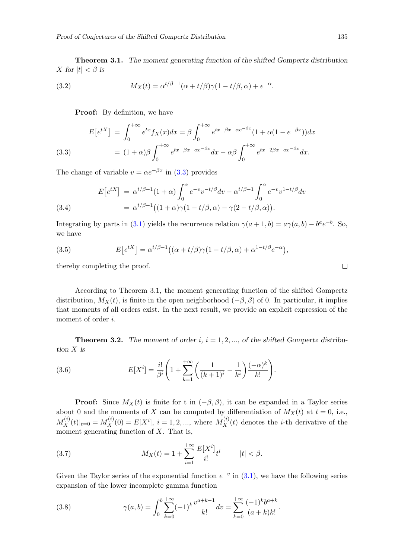<span id="page-4-2"></span>Theorem 3.1. The moment generating function of the shifted Gompertz distribution X for  $|t| < \beta$  is

.

(3.2) 
$$
M_X(t) = \alpha^{t/\beta - 1} (\alpha + t/\beta) \gamma (1 - t/\beta, \alpha) + e^{-\alpha}
$$

<span id="page-4-0"></span>**Proof:** By definition, we have

(3.3) 
$$
E[e^{tX}] = \int_0^{+\infty} e^{tx} f_X(x) dx = \beta \int_0^{+\infty} e^{tx - \beta x - \alpha e^{-\beta x}} (1 + \alpha (1 - e^{-\beta x})) dx
$$

$$
= (1 + \alpha)\beta \int_0^{+\infty} e^{tx - \beta x - \alpha e^{-\beta x}} dx - \alpha \beta \int_0^{+\infty} e^{tx - 2\beta x - \alpha e^{-\beta x}} dx.
$$

The change of variable  $v = \alpha e^{-\beta x}$  in [\(3.3\)](#page-4-0) provides

(3.4)  
\n
$$
E[e^{tX}] = \alpha^{t/\beta - 1}(1 + \alpha) \int_0^{\alpha} e^{-v} v^{-t/\beta} dv - \alpha^{t/\beta - 1} \int_0^{\alpha} e^{-v} v^{1 - t/\beta} dv
$$
\n
$$
= \alpha^{t/\beta - 1} \big( (1 + \alpha) \gamma (1 - t/\beta, \alpha) - \gamma (2 - t/\beta, \alpha) \big).
$$

Integrating by parts in [\(3.1\)](#page-3-2) yields the recurrence relation  $\gamma(a+1,b) = a\gamma(a,b) - b^a e^{-b}$ . So, we have

(3.5) 
$$
E\left[e^{tX}\right] = \alpha^{t/\beta - 1}\left((\alpha + t/\beta)\gamma(1 - t/\beta, \alpha) + \alpha^{1 - t/\beta}e^{-\alpha}\right),
$$

thereby completing the proof.

According to Theorem 3.1, the moment generating function of the shifted Gompertz distribution,  $M_X(t)$ , is finite in the open neighborhood  $(-\beta, \beta)$  of 0. In particular, it implies that moments of all orders exist. In the next result, we provide an explicit expression of the moment of order *i*.

<span id="page-4-4"></span>**Theorem 3.2.** The moment of order i,  $i = 1, 2, \dots$ , of the shifted Gompertz distribution X is

(3.6) 
$$
E[X^{i}] = \frac{i!}{\beta^{i}} \left( 1 + \sum_{k=1}^{+\infty} \left( \frac{1}{(k+1)^{i}} - \frac{1}{k^{i}} \right) \frac{(-\alpha)^{k}}{k!} \right).
$$

**Proof:** Since  $M_X(t)$  is finite for t in  $(-\beta, \beta)$ , it can be expanded in a Taylor series about 0 and the moments of X can be computed by differentiation of  $M_X(t)$  at  $t = 0$ , i.e.,  $M_X^{(i)}(t)|_{t=0} = M_X^{(i)}(0) = E[X^i], i = 1, 2, ...,$  where  $M_X^{(i)}(t)$  denotes the *i*-th derivative of the moment generating function of  $X$ . That is,

<span id="page-4-3"></span>(3.7) 
$$
M_X(t) = 1 + \sum_{i=1}^{+\infty} \frac{E[X^i]}{i!} t^i \qquad |t| < \beta.
$$

<span id="page-4-1"></span>Given the Taylor series of the exponential function  $e^{-v}$  in [\(3.1\)](#page-3-2), we have the following series expansion of the lower incomplete gamma function

(3.8) 
$$
\gamma(a,b) = \int_0^b \sum_{k=0}^{+\infty} (-1)^k \frac{v^{a+k-1}}{k!} dv = \sum_{k=0}^{+\infty} \frac{(-1)^k b^{a+k}}{(a+k)k!}.
$$

 $\Box$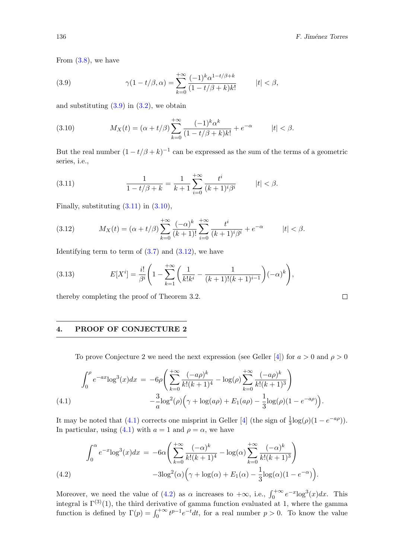$\Box$ 

<span id="page-5-1"></span>From  $(3.8)$ , we have

(3.9) 
$$
\gamma(1 - t/\beta, \alpha) = \sum_{k=0}^{+\infty} \frac{(-1)^k \alpha^{1-t/\beta+k}}{(1 - t/\beta + k)k!} \qquad |t| < \beta,
$$

<span id="page-5-3"></span>and substituting  $(3.9)$  in  $(3.2)$ , we obtain

(3.10) 
$$
M_X(t) = (\alpha + t/\beta) \sum_{k=0}^{+\infty} \frac{(-1)^k \alpha^k}{(1 - t/\beta + k)k!} + e^{-\alpha} \qquad |t| < \beta.
$$

<span id="page-5-2"></span>But the real number  $(1 - t/\beta + k)^{-1}$  can be expressed as the sum of the terms of a geometric series, i.e.,

(3.11) 
$$
\frac{1}{1-t/\beta+k} = \frac{1}{k+1} \sum_{i=0}^{+\infty} \frac{t^i}{(k+1)^i \beta^i} \qquad |t| < \beta.
$$

<span id="page-5-4"></span>Finally, substituting  $(3.11)$  in  $(3.10)$ ,

(3.12) 
$$
M_X(t) = (\alpha + t/\beta) \sum_{k=0}^{+\infty} \frac{(-\alpha)^k}{(k+1)!} \sum_{i=0}^{+\infty} \frac{t^i}{(k+1)^i \beta^i} + e^{-\alpha} \qquad |t| < \beta.
$$

Identifying term to term of  $(3.7)$  and  $(3.12)$ , we have

(3.13) 
$$
E[X^{i}] = \frac{i!}{\beta^{i}} \left( 1 - \sum_{k=1}^{+\infty} \left( \frac{1}{k!k^{i}} - \frac{1}{(k+1)!(k+1)^{i-1}} \right) (-\alpha)^{k} \right),
$$

thereby completing the proof of Theorem 3.2.

## <span id="page-5-0"></span>4. PROOF OF CONJECTURE 2

To prove Conjecture 2 we need the next expression (see Geller [\[4\]](#page-12-6)) for  $a > 0$  and  $\rho > 0$ 

<span id="page-5-5"></span>
$$
\int_0^{\rho} e^{-ax} \log^3(x) dx = -6\rho \left( \sum_{k=0}^{+\infty} \frac{(-a\rho)^k}{k!(k+1)^4} - \log(\rho) \sum_{k=0}^{+\infty} \frac{(-a\rho)^k}{k!(k+1)^3} \right) -\frac{3}{a} \log^2(\rho) \left( \gamma + \log(a\rho) + E_1(a\rho) - \frac{1}{3} \log(\rho)(1 - e^{-a\rho}) \right).
$$
\n(4.1)

It may be noted that [\(4.1\)](#page-5-5) corrects one misprint in Geller [\[4\]](#page-12-6) (the sign of  $\frac{1}{3}$ log( $\rho$ )(1 –  $e^{-a\rho}$ )). In particular, using [\(4.1\)](#page-5-5) with  $a = 1$  and  $\rho = \alpha$ , we have

<span id="page-5-6"></span>(4.2) 
$$
\int_0^{\alpha} e^{-x} \log^3(x) dx = -6\alpha \left( \sum_{k=0}^{+\infty} \frac{(-\alpha)^k}{k!(k+1)^4} - \log(\alpha) \sum_{k=0}^{+\infty} \frac{(-\alpha)^k}{k!(k+1)^3} \right) -3\log^2(\alpha) \left( \gamma + \log(\alpha) + E_1(\alpha) - \frac{1}{3} \log(\alpha)(1 - e^{-\alpha}) \right).
$$

Moreover, we need the value of [\(4.2\)](#page-5-6) as  $\alpha$  increases to  $+\infty$ , i.e.,  $\int_0^{+\infty} e^{-x} \log^3(x) dx$ . This integral is  $\Gamma^{(3)}(1)$ , the third derivative of gamma function evaluated at 1, where the gamma function is defined by  $\Gamma(p) = \int_0^{+\infty} t^{p-1} e^{-t} dt$ , for a real number  $p > 0$ . To know the value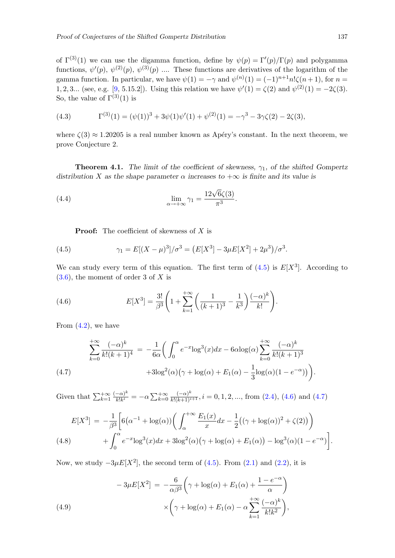of  $\Gamma^{(3)}(1)$  we can use the digamma function, define by  $\psi(p) = \Gamma'(p)/\Gamma(p)$  and polygamma functions,  $\psi'(p)$ ,  $\psi^{(2)}(p)$ ,  $\psi^{(3)}(p)$  .... These functions are derivatives of the logarithm of the gamma function. In particular, we have  $\psi(1) = -\gamma$  and  $\psi^{(n)}(1) = (-1)^{n+1} n! \zeta(n+1)$ , for  $n =$ 1, 2, 3... (see, e.g. [\[9,](#page-12-7) 5.15.2]). Using this relation we have  $\psi'(1) = \zeta(2)$  and  $\psi^{(2)}(1) = -2\zeta(3)$ . So, the value of  $\Gamma^{(3)}(1)$  is

<span id="page-6-4"></span>(4.3) 
$$
\Gamma^{(3)}(1) = (\psi(1))^3 + 3\psi(1)\psi'(1) + \psi^{(2)}(1) = -\gamma^3 - 3\gamma\zeta(2) - 2\zeta(3),
$$

where  $\zeta(3) \approx 1.20205$  is a real number known as Apéry's constant. In the next theorem, we prove Conjecture 2.

**Theorem 4.1.** The limit of the coefficient of skewness,  $\gamma_1$ , of the shifted Gompertz distribution X as the shape parameter  $\alpha$  increases to  $+\infty$  is finite and its value is

(4.4) 
$$
\lim_{\alpha \to +\infty} \gamma_1 = \frac{12\sqrt{6}\zeta(3)}{\pi^3}.
$$

<span id="page-6-1"></span><span id="page-6-0"></span>**Proof:** The coefficient of skewness of  $X$  is

(4.5) 
$$
\gamma_1 = E[(X - \mu)^3]/\sigma^3 = (E[X^3] - 3\mu E[X^2] + 2\mu^3)/\sigma^3.
$$

We can study every term of this equation. The first term of  $(4.5)$  is  $E[X^3]$ . According to  $(3.6)$ , the moment of order 3 of X is

(4.6) 
$$
E[X^3] = \frac{3!}{\beta^3} \left( 1 + \sum_{k=1}^{+\infty} \left( \frac{1}{(k+1)^3} - \frac{1}{k^3} \right) \frac{(-\alpha)^k}{k!} \right).
$$

From  $(4.2)$ , we have

<span id="page-6-2"></span>
$$
\sum_{k=0}^{+\infty} \frac{(-\alpha)^k}{k!(k+1)^4} = -\frac{1}{6\alpha} \left( \int_0^{\alpha} e^{-x} \log^3(x) dx - 6\alpha \log(\alpha) \sum_{k=0}^{+\infty} \frac{(-\alpha)^k}{k!(k+1)^3} + 3\log^2(\alpha) \left( \gamma + \log(\alpha) + E_1(\alpha) - \frac{1}{3} \log(\alpha)(1 - e^{-\alpha}) \right) \right).
$$
\n(4.7)

Given that  $\sum_{k=1}^{+\infty}$  $(-\alpha)^k$  $\frac{(-\alpha)^k}{k!k^i} = -\alpha \sum_{k=0}^{+\infty}$  $\frac{(-\alpha)^k}{k!(k+1)^{i+1}}, i = 0, 1, 2, \dots$ , from  $(2.4)$ ,  $(4.6)$  and  $(4.7)$ 

<span id="page-6-3"></span>
$$
E[X^3] = -\frac{1}{\beta^3} \left[ 6(\alpha^{-1} + \log(\alpha)) \left( \int_{\alpha}^{+\infty} \frac{E_1(x)}{x} dx - \frac{1}{2} ((\gamma + \log(\alpha))^2 + \zeta(2)) \right) + \int_0^{\alpha} e^{-x} \log^3(x) dx + 3 \log^2(\alpha) (\gamma + \log(\alpha) + E_1(\alpha)) - \log^3(\alpha) (1 - e^{-\alpha}) \right].
$$
\n(4.8)

Now, we study  $-3\mu E[X^2]$ , the second term of [\(4.5\)](#page-6-0). From [\(2.1\)](#page-2-2) and [\(2.2\)](#page-2-3), it is

(4.9)  
\n
$$
-3\mu E[X^2] = -\frac{6}{\alpha\beta^3} \left(\gamma + \log(\alpha) + E_1(\alpha) + \frac{1 - e^{-\alpha}}{\alpha}\right)
$$
\n
$$
\times \left(\gamma + \log(\alpha) + E_1(\alpha) - \alpha \sum_{k=1}^{+\infty} \frac{(-\alpha)^k}{k!k^2}\right),
$$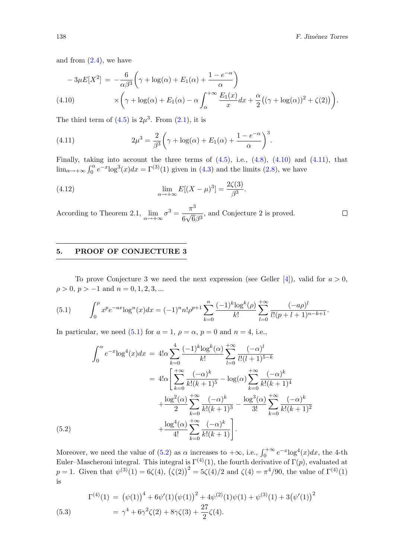$\Box$ 

and from  $(2.4)$ , we have

<span id="page-7-1"></span>
$$
-3\mu E[X^2] = -\frac{6}{\alpha\beta^3} \left(\gamma + \log(\alpha) + E_1(\alpha) + \frac{1 - e^{-\alpha}}{\alpha}\right)
$$
  
(4.10) 
$$
\times \left(\gamma + \log(\alpha) + E_1(\alpha) - \alpha \int_{\alpha}^{+\infty} \frac{E_1(x)}{x} dx + \frac{\alpha}{2} \left((\gamma + \log(\alpha))^2 + \zeta(2)\right)\right).
$$

The third term of  $(4.5)$  is  $2\mu^3$ . From  $(2.1)$ , it is

(4.11) 
$$
2\mu^3 = \frac{2}{\beta^3} \left(\gamma + \log(\alpha) + E_1(\alpha) + \frac{1 - e^{-\alpha}}{\alpha}\right)^3.
$$

Finally, taking into account the three terms of  $(4.5)$ , i.e.,  $(4.8)$ ,  $(4.10)$  and  $(4.11)$ , that  $\lim_{\alpha \to +\infty} \int_0^{\alpha} e^{-x} \log^3(x) dx = \Gamma^{(3)}(1)$  given in [\(4.3\)](#page-6-4) and the limits [\(2.8\)](#page-3-3), we have

<span id="page-7-2"></span>.

(4.12) 
$$
\lim_{\alpha \to +\infty} E[(X - \mu)^3] = \frac{2\zeta(3)}{\beta^3}
$$

According to Theorem 2.1,  $\lim_{\alpha \to +\infty} \sigma^3 = \frac{\pi^3}{6\sqrt{6}}$ 6 √  $\frac{1}{6\beta^3}$ , and Conjecture 2 is proved.

## <span id="page-7-0"></span>5. PROOF OF CONJECTURE 3

<span id="page-7-3"></span>To prove Conjecture 3 we need the next expression (see Geller [\[4\]](#page-12-6)), valid for  $a > 0$ ,  $\rho > 0, p > -1$  and  $n = 0, 1, 2, 3, ...$ 

(5.1) 
$$
\int_0^{\rho} x^p e^{-ax} \log^n(x) dx = (-1)^n n! \rho^{p+1} \sum_{k=0}^n \frac{(-1)^k \log^k(\rho)}{k!} \sum_{l=0}^{+\infty} \frac{(-a\rho)^l}{l!(p+l+1)^{n-k+1}}.
$$

In particular, we need [\(5.1\)](#page-7-3) for  $a = 1$ ,  $\rho = \alpha$ ,  $p = 0$  and  $n = 4$ , i.e.,

<span id="page-7-4"></span>
$$
\int_0^{\alpha} e^{-x} \log^4(x) dx = 4! \alpha \sum_{k=0}^4 \frac{(-1)^k \log^k(\alpha)}{k!} \sum_{l=0}^{+\infty} \frac{(-\alpha)^l}{l!(l+1)^{5-k}}
$$
  

$$
= 4! \alpha \left[ \sum_{k=0}^{+\infty} \frac{(-\alpha)^k}{k!(k+1)^5} - \log(\alpha) \sum_{k=0}^{+\infty} \frac{(-\alpha)^k}{k!(k+1)^4} + \frac{\log^2(\alpha)}{2} \sum_{k=0}^{+\infty} \frac{(-\alpha)^k}{k!(k+1)^3} - \frac{\log^3(\alpha)}{3!} \sum_{k=0}^{+\infty} \frac{(-\alpha)^k}{k!(k+1)^2} + \frac{\log^4(\alpha)}{4!} \sum_{k=0}^{+\infty} \frac{(-\alpha)^k}{k!(k+1)} \right].
$$
  
(5.2)

Moreover, we need the value of  $(5.2)$  as  $\alpha$  increases to  $+\infty$ , i.e.,  $\int_0^{+\infty} e^{-x} \log^4(x) dx$ , the 4-th Euler–Mascheroni integral. This integral is  $\Gamma^{(4)}(1)$ , the fourth derivative of  $\Gamma(p)$ , evaluated at p = 1. Given that  $\psi^{(3)}(1) = 6\zeta(4), \left(\zeta(2)\right)^2 = 5\zeta(4)/2$  and  $\zeta(4) = \pi^4/90$ , the value of  $\Gamma^{(4)}(1)$ is

<span id="page-7-5"></span>(5.3) 
$$
\Gamma^{(4)}(1) = (\psi(1))^{4} + 6\psi'(1)(\psi(1))^{2} + 4\psi^{(2)}(1)\psi(1) + \psi^{(3)}(1) + 3(\psi'(1))^{2}
$$

$$
= \gamma^{4} + 6\gamma^{2}\zeta(2) + 8\gamma\zeta(3) + \frac{27}{2}\zeta(4).
$$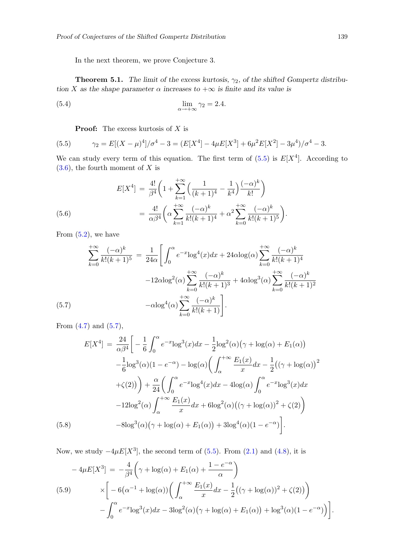In the next theorem, we prove Conjecture 3.

**Theorem 5.1.** The limit of the excess kurtosis,  $\gamma_2$ , of the shifted Gompertz distribution X as the shape parameter  $\alpha$  increases to  $+\infty$  is finite and its value is

(5.4) 
$$
\lim_{\alpha \to +\infty} \gamma_2 = 2.4.
$$

<span id="page-8-0"></span>**Proof:** The excess kurtosis of  $X$  is

(5.5) 
$$
\gamma_2 = E[(X - \mu)^4]/\sigma^4 - 3 = (E[X^4] - 4\mu E[X^3] + 6\mu^2 E[X^2] - 3\mu^4)/\sigma^4 - 3.
$$

We can study every term of this equation. The first term of  $(5.5)$  is  $E[X^4]$ . According to  $(3.6)$ , the fourth moment of X is

(5.6) 
$$
E[X^4] = \frac{4!}{\beta^4} \left( 1 + \sum_{k=1}^{+\infty} \left( \frac{1}{(k+1)^4} - \frac{1}{k^4} \right) \frac{(-\alpha)^k}{k!} \right)
$$

$$
= \frac{4!}{\alpha \beta^4} \left( \alpha \sum_{k=1}^{+\infty} \frac{(-\alpha)^k}{k!(k+1)^4} + \alpha^2 \sum_{k=0}^{+\infty} \frac{(-\alpha)^k}{k!(k+1)^5} \right).
$$

From  $(5.2)$ , we have

<span id="page-8-1"></span>
$$
\sum_{k=0}^{+\infty} \frac{(-\alpha)^k}{k!(k+1)^5} = \frac{1}{24\alpha} \left[ \int_0^{\alpha} e^{-x} \log^4(x) dx + 24\alpha \log(\alpha) \sum_{k=0}^{+\infty} \frac{(-\alpha)^k}{k!(k+1)^4} -12\alpha \log^2(\alpha) \sum_{k=0}^{+\infty} \frac{(-\alpha)^k}{k!(k+1)^3} + 4\alpha \log^3(\alpha) \sum_{k=0}^{+\infty} \frac{(-\alpha)^k}{k!(k+1)^2} -\alpha \log^4(\alpha) \sum_{k=0}^{+\infty} \frac{(-\alpha)^k}{k!(k+1)} \right].
$$

From  $(4.7)$  and  $(5.7)$ ,

<span id="page-8-2"></span>
$$
E[X^{4}] = \frac{24}{\alpha\beta^{4}} \bigg[ -\frac{1}{6} \int_{0}^{\alpha} e^{-x} \log^{3}(x) dx - \frac{1}{2} \log^{2}(\alpha) (\gamma + \log(\alpha) + E_{1}(\alpha)) - \frac{1}{6} \log^{3}(\alpha) (1 - e^{-\alpha}) - \log(\alpha) \bigg( \int_{\alpha}^{+\infty} \frac{E_{1}(x)}{x} dx - \frac{1}{2} ((\gamma + \log(\alpha))^{2} + \zeta(2)) \bigg) + \frac{\alpha}{24} \bigg( \int_{0}^{\alpha} e^{-x} \log^{4}(x) dx - 4 \log(\alpha) \int_{0}^{\alpha} e^{-x} \log^{3}(x) dx - 12 \log^{2}(\alpha) \int_{\alpha}^{+\infty} \frac{E_{1}(x)}{x} dx + 6 \log^{2}(\alpha) ((\gamma + \log(\alpha))^{2} + \zeta(2)) - 8 \log^{3}(\alpha) (\gamma + \log(\alpha) + E_{1}(\alpha)) + 3 \log^{4}(\alpha) (1 - e^{-\alpha}) \bigg].
$$
\n(5.8)

Now, we study  $-4\mu E[X^3]$ , the second term of [\(5.5\)](#page-8-0). From [\(2.1\)](#page-2-2) and [\(4.8\)](#page-6-3), it is

<span id="page-8-3"></span>
$$
-4\mu E[X^3] = -\frac{4}{\beta^4} \left( \gamma + \log(\alpha) + E_1(\alpha) + \frac{1 - e^{-\alpha}}{\alpha} \right)
$$
  
(5.9) 
$$
\times \left[ -6(\alpha^{-1} + \log(\alpha)) \left( \int_{\alpha}^{+\infty} \frac{E_1(x)}{x} dx - \frac{1}{2} ((\gamma + \log(\alpha))^2 + \zeta(2)) \right) - \int_0^{\alpha} e^{-x} \log^3(x) dx - 3\log^2(\alpha) (\gamma + \log(\alpha) + E_1(\alpha)) + \log^3(\alpha) (1 - e^{-\alpha}) \right) \right]
$$

.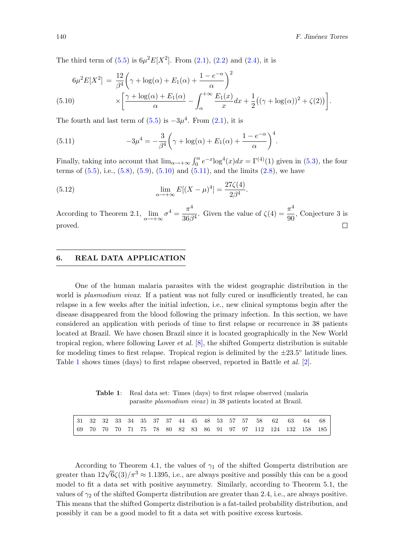The third term of  $(5.5)$  is  $6\mu^2 E[X^2]$ . From  $(2.1)$ ,  $(2.2)$  and  $(2.4)$ , it is

<span id="page-9-1"></span>
$$
6\mu^{2}E[X^{2}] = \frac{12}{\beta^{4}} \left(\gamma + \log(\alpha) + E_{1}(\alpha) + \frac{1 - e^{-\alpha}}{\alpha}\right)^{2}
$$
  
(5.10) 
$$
\times \left[\frac{\gamma + \log(\alpha) + E_{1}(\alpha)}{\alpha} - \int_{\alpha}^{+\infty} \frac{E_{1}(x)}{x} dx + \frac{1}{2} \left((\gamma + \log(\alpha))^{2} + \zeta(2)\right)\right].
$$

The fourth and last term of  $(5.5)$  is  $-3\mu^4$ . From  $(2.1)$ , it is

(5.11) 
$$
-3\mu^4 = -\frac{3}{\beta^4} \left(\gamma + \log(\alpha) + E_1(\alpha) + \frac{1 - e^{-\alpha}}{\alpha}\right)^4.
$$

Finally, taking into account that  $\lim_{\alpha \to +\infty} \int_0^{\alpha} e^{-x} \log^4(x) dx = \Gamma^{(4)}(1)$  given in [\(5.3\)](#page-7-5), the four terms of  $(5.5)$ , i.e.,  $(5.8)$ ,  $(5.9)$ ,  $(5.10)$  and  $(5.11)$ , and the limits  $(2.8)$ , we have

<span id="page-9-2"></span>.

(5.12) 
$$
\lim_{\alpha \to +\infty} E[(X - \mu)^4] = \frac{27\zeta(4)}{2\beta^4}
$$

According to Theorem 2.1,  $\lim_{\alpha \to +\infty} \sigma^4 = \frac{\pi^4}{36\beta}$  $\frac{\pi^4}{36\beta^4}$ . Given the value of  $\zeta(4) = \frac{\pi^4}{90}$  $\frac{\pi}{90}$ , Conjecture 3 is  $\Box$ proved.

## <span id="page-9-0"></span>6. REAL DATA APPLICATION

One of the human malaria parasites with the widest geographic distribution in the world is *plasmodium vivax*. If a patient was not fully cured or insufficiently treated, he can relapse in a few weeks after the initial infection, i.e., new clinical symptoms begin after the disease disappeared from the blood following the primary infection. In this section, we have considered an application with periods of time to first relapse or recurrence in 38 patients located at Brazil. We have chosen Brazil since it is located geographically in the New World tropical region, where following Lover et al. [\[8\]](#page-12-2), the shifted Gompertz distribution is suitable for modeling times to first relapse. Tropical region is delimited by the  $\pm 23.5^{\circ}$  latitude lines. Table [1](#page-9-3) shows times (days) to first relapse observed, reported in Battle et al. [\[2\]](#page-12-8).

<span id="page-9-3"></span>Table 1: Real data set: Times (days) to first relapse observed (malaria parasite plasmodium vivax) in 38 patients located at Brazil.

|  |  |  |  |  |  |  |  | $\mid 31 \mid 32 \mid 32 \mid 33 \mid 34 \mid 35 \mid 37 \mid 37 \mid 44 \mid 45 \mid 48 \mid 53 \mid 57 \mid 57 \mid 58 \mid 62 \mid 63 \mid 64 \mid 68 \mid$ |  |
|--|--|--|--|--|--|--|--|----------------------------------------------------------------------------------------------------------------------------------------------------------------|--|
|  |  |  |  |  |  |  |  | 69 70 70 70 71 75 78 80 82 83 86 91 97 97 112 124 132 158 185                                                                                                  |  |

According to Theorem 4.1, the values of  $\gamma_1$  of the shifted Gompertz distribution are According to Theorem 4.1, the values of  $\gamma_1$  of the sillical competitive distribution are greater than  $12\sqrt{6}\zeta(3)/\pi^3 \approx 1.1395$ , i.e., are always positive and possibly this can be a good model to fit a data set with positive asymmetry. Similarly, according to Theorem 5.1, the values of  $\gamma_2$  of the shifted Gompertz distribution are greater than 2.4, i.e., are always positive. This means that the shifted Gompertz distribution is a fat-tailed probability distribution, and possibly it can be a good model to fit a data set with positive excess kurtosis.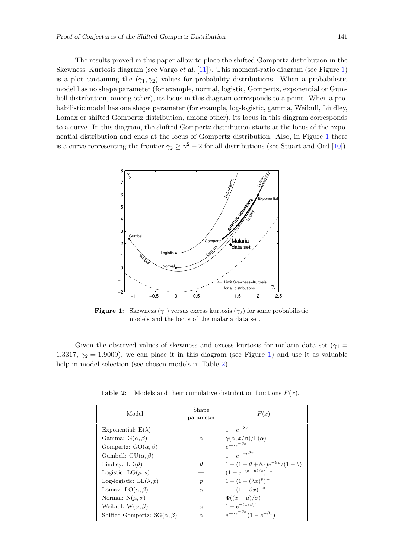The results proved in this paper allow to place the shifted Gompertz distribution in the Skewness–Kurtosis diagram (see Vargo et al. [\[11\]](#page-12-9)). This moment-ratio diagram (see Figure [1\)](#page-10-0) is a plot containing the  $(\gamma_1, \gamma_2)$  values for probability distributions. When a probabilistic model has no shape parameter (for example, normal, logistic, Gompertz, exponential or Gumbell distribution, among other), its locus in this diagram corresponds to a point. When a probabilistic model has one shape parameter (for example, log-logistic, gamma, Weibull, Lindley, Lomax or shifted Gompertz distribution, among other), its locus in this diagram corresponds to a curve. In this diagram, the shifted Gompertz distribution starts at the locus of the exponential distribution and ends at the locus of Gompertz distribution. Also, in Figure [1](#page-10-0) there is a curve representing the frontier  $\gamma_2 \geq \gamma_1^2 - 2$  for all distributions (see Stuart and Ord [\[10\]](#page-12-10)).

<span id="page-10-0"></span>

**Figure 1:** Skewness ( $\gamma_1$ ) versus excess kurtosis ( $\gamma_2$ ) for some probabilistic models and the locus of the malaria data set.

<span id="page-10-1"></span>Given the observed values of skewness and excess kurtosis for malaria data set ( $\gamma_1$  = 1.3317,  $\gamma_2 = 1.9009$ ), we can place it in this diagram (see Figure [1\)](#page-10-0) and use it as valuable help in model selection (see chosen models in Table [2\)](#page-10-1).

| Model                                 | Shape<br>parameter | F(x)                                            |  |  |  |
|---------------------------------------|--------------------|-------------------------------------------------|--|--|--|
| Exponential: $E(\lambda)$             |                    | $1-e^{-\lambda x}$                              |  |  |  |
| Gamma: $G(\alpha, \beta)$             | $\alpha$           | $\gamma(\alpha, x/\beta)/\Gamma(\alpha)$        |  |  |  |
| Gompertz: $GO(\alpha, \beta)$         |                    | $e^{-\alpha e^{-\beta x}}$                      |  |  |  |
| Gumbell: $GU(\alpha, \beta)$          |                    | $1-e^{-\alpha e^{\beta x}}$                     |  |  |  |
| Lindley: $LD(\theta)$                 | $\theta$           | $1-(1+\theta+\theta x)e^{-\theta x}/(1+\theta)$ |  |  |  |
| Logistic: $LG(\mu, s)$                |                    | $(1+e^{-(x-\mu)/s})^{-1}$                       |  |  |  |
| Log-logistic: $LL(\lambda, p)$        | $\boldsymbol{p}$   | $1-(1+(\lambda x)^p)^{-1}$                      |  |  |  |
| Lomax: $LO(\alpha, \beta)$            | $\alpha$           | $1 - (1 + \beta x)^{-\alpha}$                   |  |  |  |
| Normal: $N(\mu, \sigma)$              |                    | $\Phi((x-\mu)/\sigma)$                          |  |  |  |
| Weibull: $W(\alpha, \beta)$           | $\alpha$           | $1 - e^{-(x/\beta)^{\alpha}}$                   |  |  |  |
| Shifted Gompertz: $SG(\alpha, \beta)$ | $\alpha$           | $e^{-\alpha e^{-\beta x}}(1-e^{-\beta x})$      |  |  |  |

**Table 2:** Models and their cumulative distribution functions  $F(x)$ .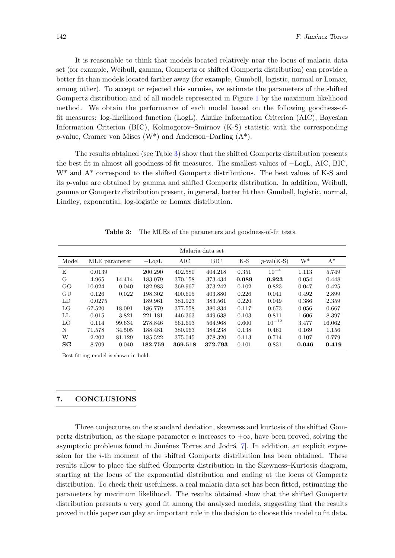It is reasonable to think that models located relatively near the locus of malaria data set (for example, Weibull, gamma, Gompertz or shifted Gompertz distribution) can provide a better fit than models located farther away (for example, Gumbell, logistic, normal or Lomax, among other). To accept or rejected this surmise, we estimate the parameters of the shifted Gompertz distribution and of all models represented in Figure [1](#page-10-0) by the maximum likelihood method. We obtain the performance of each model based on the following goodness-offit measures: log-likelihood function (LogL), Akaike Information Criterion (AIC), Bayesian Information Criterion (BIC), Kolmogorov–Smirnov (K-S) statistic with the corresponding p-value, Cramer von Mises  $(W^*)$  and Anderson–Darling  $(A^*)$ .

The results obtained (see Table [3\)](#page-11-1) show that the shifted Gompertz distribution presents the best fit in almost all goodness-of-fit measures. The smallest values of −LogL, AIC, BIC, W\* and A\* correspond to the shifted Gompertz distributions. The best values of K-S and its p-value are obtained by gamma and shifted Gompertz distribution. In addition, Weibull, gamma or Gompertz distribution present, in general, better fit than Gumbell, logistic, normal, Lindley, exponential, log-logistic or Lomax distribution.

<span id="page-11-1"></span>

| Malaria data set |               |        |                       |         |         |       |                  |       |        |  |
|------------------|---------------|--------|-----------------------|---------|---------|-------|------------------|-------|--------|--|
| Model            | MLE parameter |        | AIC<br>$-\text{Log}L$ |         | BIC     | $K-S$ | $p$ -val $(K-S)$ | $W^*$ | $A^*$  |  |
| E                | 0.0139        |        | 200.290               | 402.580 | 404.218 | 0.351 | $10^{-4}$        | 1.113 | 5.749  |  |
| G                | 4.965         | 14.414 | 183.079               | 370.158 | 373.434 | 0.089 | 0.923            | 0.054 | 0.448  |  |
| GO               | 10.024        | 0.040  | 182.983               | 369.967 | 373.242 | 0.102 | 0.823            | 0.047 | 0.425  |  |
| GU               | 0.126         | 0.022  | 198.302               | 400.605 | 403.880 | 0.226 | 0.041            | 0.492 | 2.899  |  |
| LD               | 0.0275        |        | 189.961               | 381.923 | 383.561 | 0.220 | 0.049            | 0.386 | 2.359  |  |
| LG               | 67.520        | 18.091 | 186.779               | 377.558 | 380.834 | 0.117 | 0.673            | 0.056 | 0.667  |  |
| LL               | 0.015         | 3.821  | 221.181               | 446.363 | 449.638 | 0.103 | 0.811            | 1.606 | 8.397  |  |
| LO               | 0.114         | 99.634 | 278.846               | 561.693 | 564.968 | 0.600 | $10^{-12}$       | 3.477 | 16.062 |  |
| N                | 71.578        | 34.505 | 188.481               | 380.963 | 384.238 | 0.138 | 0.461            | 0.169 | 1.156  |  |
| W                | 2.202         | 81.129 | 185.522               | 375.045 | 378.320 | 0.113 | 0.714            | 0.107 | 0.779  |  |
| SG               | 8.709         | 0.040  | 182.759               | 369.518 | 372.793 | 0.101 | 0.831            | 0.046 | 0.419  |  |

Table 3: The MLEs of the parameters and goodness-of-fit tests.

Best fitting model is shown in bold.

## <span id="page-11-0"></span>7. CONCLUSIONS

Three conjectures on the standard deviation, skewness and kurtosis of the shifted Gompertz distribution, as the shape parameter  $\alpha$  increases to  $+\infty$ , have been proved, solving the asymptotic problems found in Jiménez Torres and Jodrá [\[7\]](#page-12-3). In addition, an explicit expression for the i-th moment of the shifted Gompertz distribution has been obtained. These results allow to place the shifted Gompertz distribution in the Skewness–Kurtosis diagram, starting at the locus of the exponential distribution and ending at the locus of Gompertz distribution. To check their usefulness, a real malaria data set has been fitted, estimating the parameters by maximum likelihood. The results obtained show that the shifted Gompertz distribution presents a very good fit among the analyzed models, suggesting that the results proved in this paper can play an important rule in the decision to choose this model to fit data.